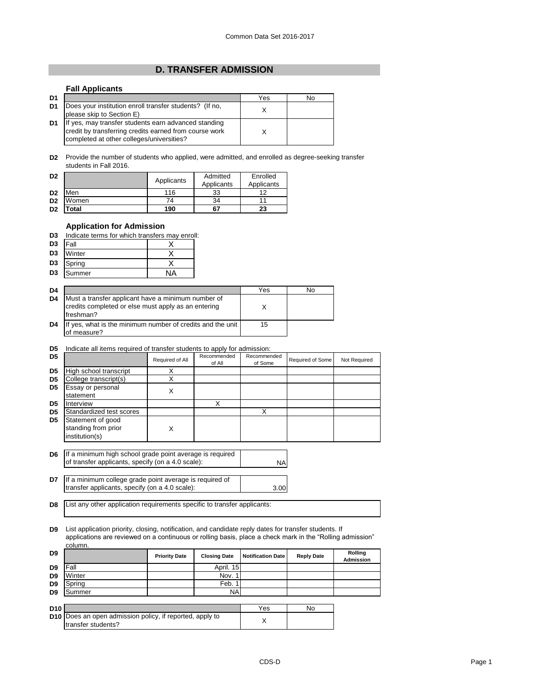## **D. TRANSFER ADMISSION**

## **Fall Applicants**

| D <sub>1</sub> |                                                                                                                                                             | Yes | No |
|----------------|-------------------------------------------------------------------------------------------------------------------------------------------------------------|-----|----|
| D <sub>1</sub> | Does your institution enroll transfer students? (If no,<br>please skip to Section E)                                                                        |     |    |
| D <sub>1</sub> | If yes, may transfer students earn advanced standing<br>credit by transferring credits earned from course work<br>completed at other colleges/universities? |     |    |

**D2** Provide the number of students who applied, were admitted, and enrolled as degree-seeking transfer students in Fall 2016.

| D <sub>2</sub> |                           | Applicants | Admitted<br>Applicants | Enrolled<br>Applicants |
|----------------|---------------------------|------------|------------------------|------------------------|
| D <sub>2</sub> | Men                       | 116        | 33                     | 19                     |
| D <sub>2</sub> | Women                     | 74         | 34                     |                        |
| D <sub>2</sub> | $\mathop{\mathsf{Total}}$ | 190        | 67                     | 23                     |

## **Application for Admission**

| <b>D3</b> Indicate terms for which transfers may enroll: |  |  |
|----------------------------------------------------------|--|--|
|                                                          |  |  |

| D <sub>3</sub> | Fall      |  |
|----------------|-----------|--|
| D <sub>3</sub> | Winter    |  |
|                | D3 Spring |  |
| D <sub>3</sub> | Summer    |  |

| D <sub>4</sub> |                                                                                                                         | Yes | No |
|----------------|-------------------------------------------------------------------------------------------------------------------------|-----|----|
| D <sub>4</sub> | Must a transfer applicant have a minimum number of<br>credits completed or else must apply as an entering<br>Ifreshman? |     |    |
| D <sub>4</sub> | If yes, what is the minimum number of credits and the unit<br>of measure?                                               | 15  |    |

## **D5** Indicate all items required of transfer students to apply for admission:

| D <sub>5</sub> |                                                                                                               | Required of All | Recommended<br>of All | Recommended<br>of Some | Required of Some | Not Required |
|----------------|---------------------------------------------------------------------------------------------------------------|-----------------|-----------------------|------------------------|------------------|--------------|
| D <sub>5</sub> | High school transcript                                                                                        | Χ               |                       |                        |                  |              |
| D <sub>5</sub> | College transcript(s)                                                                                         | X               |                       |                        |                  |              |
| D <sub>5</sub> | Essay or personal<br>statement                                                                                | X               |                       |                        |                  |              |
| D <sub>5</sub> | Interview                                                                                                     |                 | x                     |                        |                  |              |
| D <sub>5</sub> | Standardized test scores                                                                                      |                 |                       | x                      |                  |              |
| D <sub>5</sub> | Statement of good<br>standing from prior<br>institution(s)                                                    | X               |                       |                        |                  |              |
| D6             | If a minimum high school grade point average is required<br>of transfer applicants, specify (on a 4.0 scale): |                 |                       | NA                     |                  |              |

**D7** 3.00 If a minimum college grade point average is required of transfer applicants, specify (on a 4.0 scale):

**D8** List any other application requirements specific to transfer applicants:

**D9** List application priority, closing, notification, and candidate reply dates for transfer students. If applications are reviewed on a continuous or rolling basis, place a check mark in the "Rolling admission" column.

| D <sub>9</sub>  |                                                                                       | <b>Priority Date</b> | <b>Closing Date</b> | <b>Notification Date</b> | <b>Reply Date</b> | Rolling<br><b>Admission</b> |
|-----------------|---------------------------------------------------------------------------------------|----------------------|---------------------|--------------------------|-------------------|-----------------------------|
| D <sub>9</sub>  | Fall                                                                                  |                      | April. 15           |                          |                   |                             |
| D <sub>9</sub>  | Winter                                                                                |                      | Nov. 1              |                          |                   |                             |
| D <sub>9</sub>  | Spring                                                                                |                      | Feb. 1              |                          |                   |                             |
| D <sub>9</sub>  | Summer                                                                                |                      | NA                  |                          |                   |                             |
|                 |                                                                                       |                      |                     |                          |                   |                             |
| D <sub>10</sub> |                                                                                       |                      |                     | Yes                      | No                |                             |
|                 | <b>D10</b> Does an open admission policy, if reported, apply to<br>transfer students? |                      |                     | X                        |                   |                             |